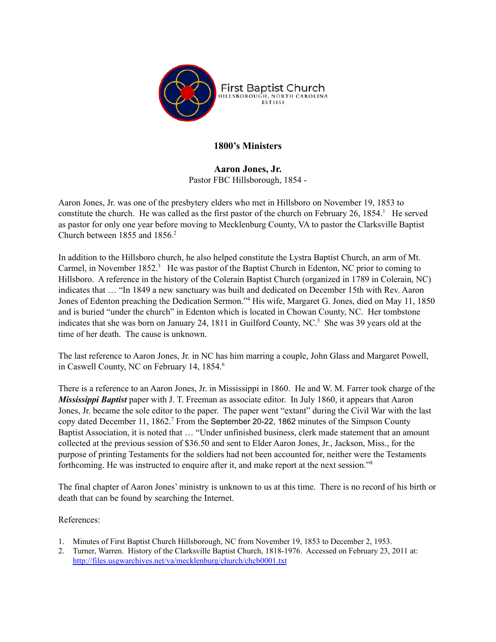

## **1800's Ministers**

**Aaron Jones, Jr.** Pastor FBC Hillsborough, 1854 -

Aaron Jones, Jr. was one of the presbytery elders who met in Hillsboro on November 19, 1853 to constitute the church. He was called as the first pastor of the church on February 26, 1854.<sup>1</sup> He served as pastor for only one year before moving to Mecklenburg County, VA to pastor the Clarksville Baptist Church between 1855 and 1856. 2

In addition to the Hillsboro church, he also helped constitute the Lystra Baptist Church, an arm of Mt. Carmel, in November 1852.<sup>3</sup> He was pastor of the Baptist Church in Edenton, NC prior to coming to Hillsboro. A reference in the history of the Colerain Baptist Church (organized in 1789 in Colerain, NC) indicates that … "In 1849 a new sanctuary was built and dedicated on December 15th with Rev. Aaron Jones of Edenton preaching the Dedication Sermon." <sup>4</sup> His wife, Margaret G. Jones, died on May 11, 1850 and is buried "under the church" in Edenton which is located in Chowan County, NC. Her tombstone indicates that she was born on January 24, 1811 in Guilford County, NC. <sup>5</sup> She was 39 years old at the time of her death. The cause is unknown.

The last reference to Aaron Jones, Jr. in NC has him marring a couple, John Glass and Margaret Powell, in Caswell County, NC on February 14, 1854. 6

There is a reference to an Aaron Jones, Jr. in Mississippi in 1860. He and W. M. Farrer took charge of the *Mississippi Baptist* paper with J. T. Freeman as associate editor. In July 1860, it appears that Aaron Jones, Jr. became the sole editor to the paper. The paper went "extant" during the Civil War with the last copy dated December 11, 1862. <sup>7</sup> From the September 20-22, 1862 minutes of the Simpson County Baptist Association, it is noted that … "Under unfinished business, clerk made statement that an amount collected at the previous session of \$36.50 and sent to Elder Aaron Jones, Jr., Jackson, Miss., for the purpose of printing Testaments for the soldiers had not been accounted for, neither were the Testaments forthcoming. He was instructed to enquire after it, and make report at the next session." 8

The final chapter of Aaron Jones' ministry is unknown to us at this time. There is no record of his birth or death that can be found by searching the Internet.

- 1. Minutes of First Baptist Church Hillsborough, NC from November 19, 1853 to December 2, 1953.
- 2. Turner, Warren. History of the Clarksville Baptist Church, 1818-1976. Accessed on February 23, 2011 at: <http://files.usgwarchives.net/va/mecklenburg/church/chcb0001.txt>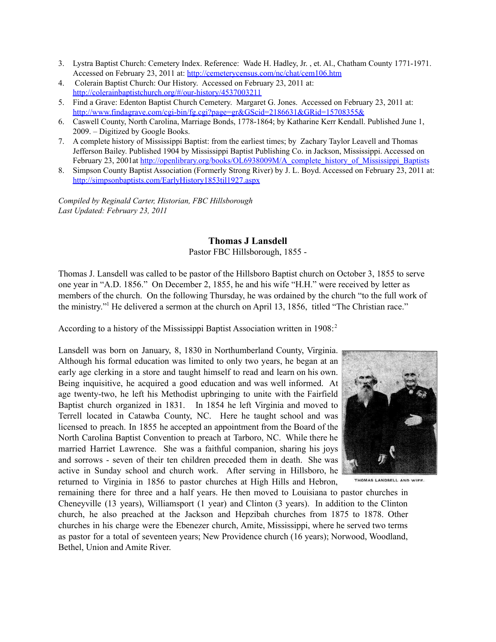- 3. Lystra Baptist Church: Cemetery Index. Reference: Wade H. Hadley, Jr. , et. Al., Chatham County 1771-1971. Accessed on February 23, 2011 at: <http://cemeterycensus.com/nc/chat/cem106.htm>
- 4. Colerain Baptist Church: Our History. Accessed on February 23, 2011 at: [http://colerainbaptistchurch.org/#/our-history/4537003211](http://colerainbaptistchurch.org/%23/our-history/4537003211)
- 5. Find a Grave: Edenton Baptist Church Cemetery. Margaret G. Jones. Accessed on February 23, 2011 at: <http://www.findagrave.com/cgi-bin/fg.cgi?page=gr&GScid=2186631&GRid=15708355&>
- 6. Caswell County, North Carolina, Marriage Bonds, 1778-1864; by Katharine Kerr Kendall. Published June 1, 2009. – Digitized by Google Books.
- 7. A complete history of Mississippi Baptist: from the earliest times; by Zachary Taylor Leavell and Thomas Jefferson Bailey. Published 1904 by Mississippi Baptist Publishing Co. in Jackson, Mississippi. Accessed on February 23, 2001at [http://openlibrary.org/books/OL6938009M/A\\_complete\\_history\\_of\\_Mississippi\\_Baptists](http://openlibrary.org/books/OL6938009M/A_complete_history_of_Mississippi_Baptists)
- 8. Simpson County Baptist Association (Formerly Strong River) by J. L. Boyd. Accessed on February 23, 2011 at: <http://simpsonbaptists.com/EarlyHistory1853til1927.aspx>

*Compiled by Reginald Carter, Historian, FBC Hillsborough Last Updated: February 23, 2011*

### **Thomas J Lansdell**

Pastor FBC Hillsborough, 1855 -

Thomas J. Lansdell was called to be pastor of the Hillsboro Baptist church on October 3, 1855 to serve one year in "A.D. 1856." On December 2, 1855, he and his wife "H.H." were received by letter as members of the church. On the following Thursday, he was ordained by the church "to the full work of the ministry." <sup>1</sup> He delivered a sermon at the church on April 13, 1856, titled "The Christian race."

According to a history of the Mississippi Baptist Association written in 1908: 2

Lansdell was born on January, 8, 1830 in Northumberland County, Virginia. Although his formal education was limited to only two years, he began at an early age clerking in a store and taught himself to read and learn on his own. Being inquisitive, he acquired a good education and was well informed. At age twenty-two, he left his Methodist upbringing to unite with the Fairfield Baptist church organized in 1831. In 1854 he left Virginia and moved to Terrell located in Catawba County, NC. Here he taught school and was licensed to preach. In 1855 he accepted an appointment from the Board of the North Carolina Baptist Convention to preach at Tarboro, NC. While there he married Harriet Lawrence. She was a faithful companion, sharing his joys and sorrows - seven of their ten children preceded them in death. She was active in Sunday school and church work. After serving in Hillsboro, he returned to Virginia in 1856 to pastor churches at High Hills and Hebron,



THOMAS LANDSELL AND WIFE.

remaining there for three and a half years. He then moved to Louisiana to pastor churches in Cheneyville (13 years), Williamsport (1 year) and Clinton (3 years). In addition to the Clinton church, he also preached at the Jackson and Hepzibah churches from 1875 to 1878. Other churches in his charge were the Ebenezer church, Amite, Mississippi, where he served two terms as pastor for a total of seventeen years; New Providence church (16 years); Norwood, Woodland, Bethel, Union and Amite River.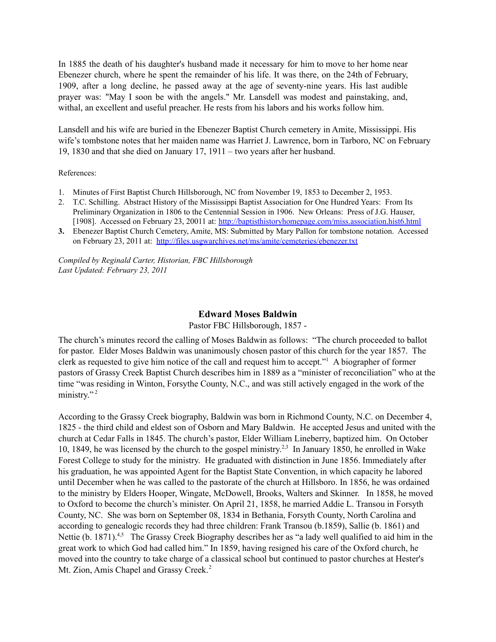In 1885 the death of his daughter's husband made it necessary for him to move to her home near Ebenezer church, where he spent the remainder of his life. It was there, on the 24th of February, 1909, after a long decline, he passed away at the age of seventy-nine years. His last audible prayer was: "May I soon be with the angels." Mr. Lansdell was modest and painstaking, and, withal, an excellent and useful preacher. He rests from his labors and his works follow him.

Lansdell and his wife are buried in the Ebenezer Baptist Church cemetery in Amite, Mississippi. His wife's tombstone notes that her maiden name was Harriet J. Lawrence, born in Tarboro, NC on February 19, 1830 and that she died on January 17, 1911 – two years after her husband.

#### References:

- 1. Minutes of First Baptist Church Hillsborough, NC from November 19, 1853 to December 2, 1953.
- 2. T.C. Schilling. Abstract History of the Mississippi Baptist Association for One Hundred Years: From Its Preliminary Organization in 1806 to the Centennial Session in 1906. New Orleans: Press of J.G. Hauser, [1908]. Accessed on February 23, 20011 at: <http://baptisthistoryhomepage.com/miss.association.hist6.html>
- **3.** Ebenezer Baptist Church Cemetery, Amite, MS: Submitted by Mary Pallon for tombstone notation. Accessed on February 23, 2011 at: <http://files.usgwarchives.net/ms/amite/cemeteries/ebenezer.txt>

*Compiled by Reginald Carter, Historian, FBC Hillsborough Last Updated: February 23, 2011*

#### **Edward Moses Baldwin**

Pastor FBC Hillsborough, 1857 -

The church's minutes record the calling of Moses Baldwin as follows: "The church proceeded to ballot for pastor. Elder Moses Baldwin was unanimously chosen pastor of this church for the year 1857. The clerk as requested to give him notice of the call and request him to accept." <sup>1</sup> A biographer of former pastors of Grassy Creek Baptist Church describes him in 1889 as a "minister of reconciliation" who at the time "was residing in Winton, Forsythe County, N.C., and was still actively engaged in the work of the ministry."<sup>2</sup>

According to the Grassy Creek biography, Baldwin was born in Richmond County, N.C. on December 4, 1825 - the third child and eldest son of Osborn and Mary Baldwin. He accepted Jesus and united with the church at Cedar Falls in 1845. The church's pastor, Elder William Lineberry, baptized him. On October 10, 1849, he was licensed by the church to the gospel ministry.<sup>2,3</sup> In January 1850, he enrolled in Wake Forest College to study for the ministry. He graduated with distinction in June 1856. Immediately after his graduation, he was appointed Agent for the Baptist State Convention, in which capacity he labored until December when he was called to the pastorate of the church at Hillsboro. In 1856, he was ordained to the ministry by Elders Hooper, Wingate, McDowell, Brooks, Walters and Skinner. In 1858, he moved to Oxford to become the church's minister. On April 21, 1858, he married Addie L. Transou in Forsyth County, NC. She was born on September 08, 1834 in Bethania, Forsyth County, North Carolina and according to genealogic records they had three children: Frank Transou (b.1859), Sallie (b. 1861) and Nettie (b. 1871).<sup>4,5</sup> The Grassy Creek Biography describes her as "a lady well qualified to aid him in the great work to which God had called him." In 1859, having resigned his care of the Oxford church, he moved into the country to take charge of a classical school but continued to pastor churches at Hester's Mt. Zion, Amis Chapel and Grassy Creek.<sup>2</sup>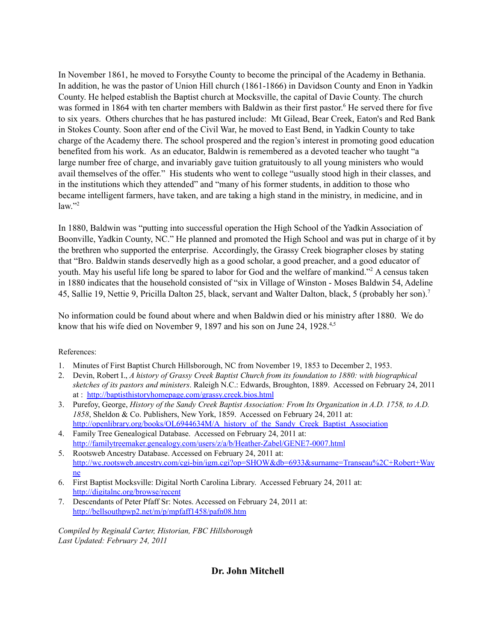In November 1861, he moved to Forsythe County to become the principal of the Academy in Bethania. In addition, he was the pastor of Union Hill church (1861-1866) in Davidson County and Enon in Yadkin County. He helped establish the Baptist church at Mocksville, the capital of Davie County. The church was formed in 1864 with ten charter members with Baldwin as their first pastor. <sup>6</sup> He served there for five to six years. Others churches that he has pastured include: Mt Gilead, Bear Creek, Eaton's and Red Bank in Stokes County. Soon after end of the Civil War, he moved to East Bend, in Yadkin County to take charge of the Academy there. The school prospered and the region's interest in promoting good education benefited from his work. As an educator, Baldwin is remembered as a devoted teacher who taught "a large number free of charge, and invariably gave tuition gratuitously to all young ministers who would avail themselves of the offer." His students who went to college "usually stood high in their classes, and in the institutions which they attended" and "many of his former students, in addition to those who became intelligent farmers, have taken, and are taking a high stand in the ministry, in medicine, and in law." 2

In 1880, Baldwin was "putting into successful operation the High School of the Yadkin Association of Boonville, Yadkin County, NC." He planned and promoted the High School and was put in charge of it by the brethren who supported the enterprise. Accordingly, the Grassy Creek biographer closes by stating that "Bro. Baldwin stands deservedly high as a good scholar, a good preacher, and a good educator of youth. May his useful life long be spared to labor for God and the welfare of mankind." <sup>2</sup> A census taken in 1880 indicates that the household consisted of "six in Village of Winston - Moses Baldwin 54, Adeline 45, Sallie 19, Nettie 9, Pricilla Dalton 25, black, servant and Walter Dalton, black, 5 (probably her son). 7

No information could be found about where and when Baldwin died or his ministry after 1880. We do know that his wife died on November 9, 1897 and his son on June 24, 1928.<sup>4,5</sup>

### References:

- 1. Minutes of First Baptist Church Hillsborough, NC from November 19, 1853 to December 2, 1953.
- 2. Devin, Robert I., *A history of Grassy Creek Baptist Church from its foundation to 1880: with biographical sketches of its pastors and ministers*. Raleigh N.C.: Edwards, Broughton, 1889. Accessed on February 24, 2011 at : <http://baptisthistoryhomepage.com/grassy.creek.bios.html>
- 3. Purefoy, George, *History of the Sandy Creek Baptist Association: From Its Organization in A.D. 1758, to A.D. 1858*, Sheldon & Co. Publishers, New York, 1859. Accessed on February 24, 2011 at: [http://openlibrary.org/books/OL6944634M/A\\_history\\_of\\_the\\_Sandy\\_Creek\\_Baptist\\_Association](http://openlibrary.org/books/OL6944634M/A_history_of_the_Sandy_Creek_Baptist_Association)
- 4. Family Tree Genealogical Database. Accessed on February 24, 2011 at: <http://familytreemaker.genealogy.com/users/z/a/b/Heather-Zabel/GENE7-0007.html>
- 5. Rootsweb Ancestry Database. Accessed on February 24, 2011 at: [http://wc.rootsweb.ancestry.com/cgi-bin/igm.cgi?op=SHOW&db=6933&surname=Transeau%2C+Robert+Way](http://wc.rootsweb.ancestry.com/cgi-bin/igm.cgi?op=SHOW&db=6933&surname=Transeau%252C+Robert+Wayne) [ne](http://wc.rootsweb.ancestry.com/cgi-bin/igm.cgi?op=SHOW&db=6933&surname=Transeau%252C+Robert+Wayne)
- 6. First Baptist Mocksville: Digital North Carolina Library. Accessed February 24, 2011 at: <http://digitalnc.org/browse/recent>
- 7. Descendants of Peter Pfaff Sr: Notes. Accessed on February 24, 2011 at: <http://bellsouthpwp2.net/m/p/mpfaff1458/pafn08.htm>

*Compiled by Reginald Carter, Historian, FBC Hillsborough Last Updated: February 24, 2011*

## **Dr. John Mitchell**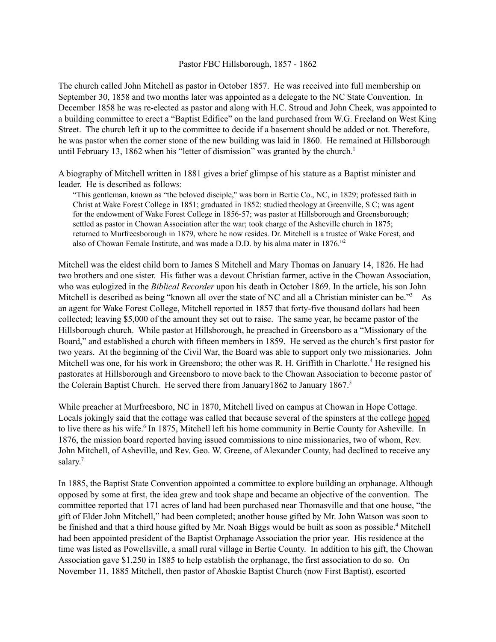#### Pastor FBC Hillsborough, 1857 - 1862

The church called John Mitchell as pastor in October 1857. He was received into full membership on September 30, 1858 and two months later was appointed as a delegate to the NC State Convention. In December 1858 he was re-elected as pastor and along with H.C. Stroud and John Cheek, was appointed to a building committee to erect a "Baptist Edifice" on the land purchased from W.G. Freeland on West King Street. The church left it up to the committee to decide if a basement should be added or not. Therefore, he was pastor when the corner stone of the new building was laid in 1860. He remained at Hillsborough until February 13, 1862 when his "letter of dismission" was granted by the church.<sup>1</sup>

A biography of Mitchell written in 1881 gives a brief glimpse of his stature as a Baptist minister and leader. He is described as follows:

"This gentleman, known as "the beloved disciple," was born in Bertie Co., NC, in 1829; professed faith in Christ at Wake Forest College in 1851; graduated in 1852: studied theology at Greenville, S C; was agent for the endowment of Wake Forest College in 1856-57; was pastor at Hillsborough and Greensborough; settled as pastor in Chowan Association after the war; took charge of the Asheville church in 1875; returned to Murfreesborough in 1879, where he now resides. Dr. Mitchell is a trustee of Wake Forest, and also of Chowan Female Institute, and was made a D.D. by his alma mater in 1876." 2

Mitchell was the eldest child born to James S Mitchell and Mary Thomas on January 14, 1826. He had two brothers and one sister. His father was a devout Christian farmer, active in the Chowan Association, who was eulogized in the *Biblical Recorder* upon his death in October 1869. In the article, his son John Mitchell is described as being "known all over the state of NC and all a Christian minister can be."<sup>3</sup> As an agent for Wake Forest College, Mitchell reported in 1857 that forty-five thousand dollars had been collected; leaving \$5,000 of the amount they set out to raise. The same year, he became pastor of the Hillsborough church. While pastor at Hillsborough, he preached in Greensboro as a "Missionary of the Board," and established a church with fifteen members in 1859. He served as the church's first pastor for two years. At the beginning of the Civil War, the Board was able to support only two missionaries. John Mitchell was one, for his work in Greensboro; the other was R. H. Griffith in Charlotte. <sup>4</sup> He resigned his pastorates at Hillsborough and Greensboro to move back to the Chowan Association to become pastor of the Colerain Baptist Church. He served there from January1862 to January 1867. 5

While preacher at Murfreesboro, NC in 1870, Mitchell lived on campus at Chowan in Hope Cottage. Locals jokingly said that the cottage was called that because several of the spinsters at the college hoped to live there as his wife.<sup>6</sup> In 1875, Mitchell left his home community in Bertie County for Asheville. In 1876, the mission board reported having issued commissions to nine missionaries, two of whom, Rev. John Mitchell, of Asheville, and Rev. Geo. W. Greene, of Alexander County, had declined to receive any salary.<sup>7</sup>

In 1885, the Baptist State Convention appointed a committee to explore building an orphanage. Although opposed by some at first, the idea grew and took shape and became an objective of the convention. The committee reported that 171 acres of land had been purchased near Thomasville and that one house, "the gift of Elder John Mitchell," had been completed; another house gifted by Mr. John Watson was soon to be finished and that a third house gifted by Mr. Noah Biggs would be built as soon as possible. <sup>4</sup> Mitchell had been appointed president of the Baptist Orphanage Association the prior year. His residence at the time was listed as Powellsville, a small rural village in Bertie County. In addition to his gift, the Chowan Association gave \$1,250 in 1885 to help establish the orphanage, the first association to do so. On November 11, 1885 Mitchell, then pastor of Ahoskie Baptist Church (now First Baptist), escorted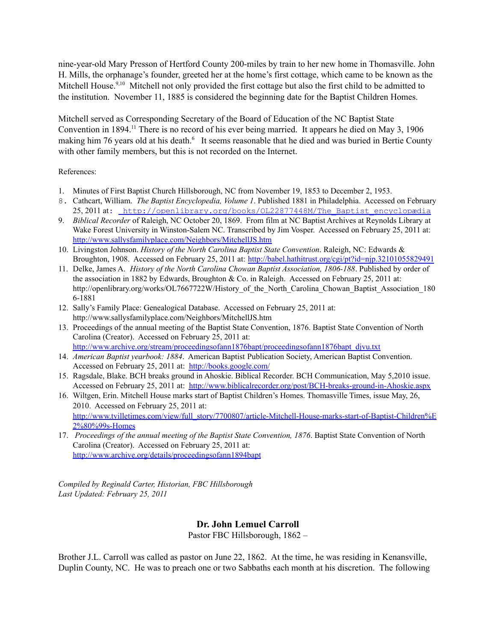nine-year-old Mary Presson of Hertford County 200-miles by train to her new home in Thomasville. John H. Mills, the orphanage's founder, greeted her at the home's first cottage, which came to be known as the Mitchell House.<sup>9,10</sup> Mitchell not only provided the first cottage but also the first child to be admitted to the institution. November 11, 1885 is considered the beginning date for the Baptist Children Homes.

Mitchell served as Corresponding Secretary of the Board of Education of the NC Baptist State Convention in 1894.<sup>11</sup> There is no record of his ever being married. It appears he died on May 3, 1906 making him 76 years old at his death.<sup>6</sup> It seems reasonable that he died and was buried in Bertie County with other family members, but this is not recorded on the Internet.

References:

- 1. Minutes of First Baptist Church Hillsborough, NC from November 19, 1853 to December 2, 1953.
- 8. Cathcart, William. *The Baptist Encyclopedia, Volume 1*. Published 1881 in Philadelphia. Accessed on February 25, 2011 at: http://openlibrary.org/books/0L22877448M/The Baptist encyclopædia
- 9. *Biblical Recorder* of Raleigh, NC October 20, 1869. From film at NC Baptist Archives at Reynolds Library at Wake Forest University in Winston-Salem NC. Transcribed by Jim Vosper. Accessed on February 25, 2011 at: <http://www.sallysfamilyplace.com/Neighbors/MitchellJS.htm>
- 10. Livingston Johnson. *History of the North Carolina Baptist State Convention*. Raleigh, NC: Edwards & Broughton, 1908. Accessed on February 25, 2011 at: <http://babel.hathitrust.org/cgi/pt?id=njp.32101055829491>
- 11. Delke, James A. *History of the North Carolina Chowan Baptist Association, 1806-188*. Published by order of the association in 1882 by Edwards, Broughton & Co. in Raleigh. Accessed on February 25, 2011 at: http://openlibrary.org/works/OL7667722W/History of the North Carolina Chowan Baptist Association 180 [6-1881](http://openlibrary.org/works/OL7667722W/History_of_the_North_Carolina_Chowan_Baptist_Association_1806-1881)
- 12. Sally's Family Place: Genealogical Database. Accessed on February 25, 2011 at: <http://www.sallysfamilyplace.com/Neighbors/MitchellJS.htm>
- 13. Proceedings of the annual meeting of the Baptist State Convention, 1876. Baptist State Convention of North Carolina (Creator). Accessed on February 25, 2011 at: [http://www.archive.org/stream/proceedingsofann1876bapt/proceedingsofann1876bapt\\_djvu.txt](http://www.archive.org/stream/proceedingsofann1876bapt/proceedingsofann1876bapt_djvu.txt)
- 14. *American Baptist yearbook: 1884*. American Baptist Publication Society, American Baptist Convention. Accessed on February 25, 2011 at: <http://books.google.com/>
- 15. Ragsdale, Blake. BCH breaks ground in Ahoskie. Biblical Recorder. BCH Communication, May 5,2010 issue. Accessed on February 25, 2011 at: <http://www.biblicalrecorder.org/post/BCH-breaks-ground-in-Ahoskie.aspx>
- 16. Wiltgen, Erin. Mitchell House marks start of Baptist Children's Homes. Thomasville Times, issue May, 26, 2010. Accessed on February 25, 2011 at: [http://www.tvilletimes.com/view/full\\_story/7700807/article-Mitchell-House-marks-start-of-Baptist-Children%E](http://www.tvilletimes.com/view/full_story/7700807/article-Mitchell-House-marks-start-of-Baptist-Children%25E2%2580%2599s-Homes) [2%80%99s-Homes](http://www.tvilletimes.com/view/full_story/7700807/article-Mitchell-House-marks-start-of-Baptist-Children%25E2%2580%2599s-Homes)
- 17. *Proceedings of the annual meeting of the Baptist State Convention, 1876*. Baptist State Convention of North Carolina (Creator). Accessed on February 25, 2011 at: <http://www.archive.org/details/proceedingsofann1894bapt>

*Compiled by Reginald Carter, Historian, FBC Hillsborough Last Updated: February 25, 2011*

## **Dr. John Lemuel Carroll**

Pastor FBC Hillsborough, 1862 –

Brother J.L. Carroll was called as pastor on June 22, 1862. At the time, he was residing in Kenansville, Duplin County, NC. He was to preach one or two Sabbaths each month at his discretion. The following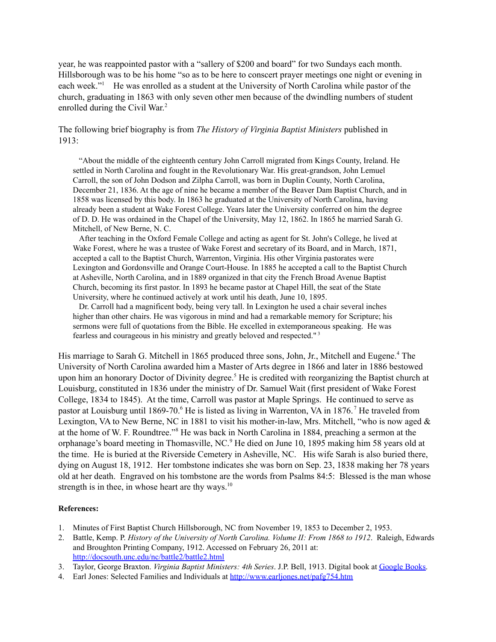year, he was reappointed pastor with a "sallery of \$200 and board" for two Sundays each month. Hillsborough was to be his home "so as to be here to conscert prayer meetings one night or evening in each week."<sup>1</sup> He was enrolled as a student at the University of North Carolina while pastor of the church, graduating in 1863 with only seven other men because of the dwindling numbers of student enrolled during the Civil War.<sup>2</sup>

### The following brief biography is from *The History of Virginia Baptist Ministers* published in 1913:

"About the middle of the eighteenth century John Carroll migrated from Kings County, Ireland. He settled in North Carolina and fought in the Revolutionary War. His great-grandson, John Lemuel Carroll, the son of John Dodson and Zilpha Carroll, was born in Duplin County, North Carolina, December 21, 1836. At the age of nine he became a member of the Beaver Dam Baptist Church, and in 1858 was licensed by this body. In 1863 he graduated at the University of North Carolina, having already been a student at Wake Forest College. Years later the University conferred on him the degree of D. D. He was ordained in the Chapel of the University, May 12, 1862. In 1865 he married Sarah G. Mitchell, of New Berne, N. C.

After teaching in the Oxford Female College and acting as agent for St. John's College, he lived at Wake Forest, where he was a trustee of Wake Forest and secretary of its Board, and in March, 1871, accepted a call to the Baptist Church, Warrenton, Virginia. His other Virginia pastorates were Lexington and Gordonsville and Orange Court-House. In 1885 he accepted a call to the Baptist Church at Asheville, North Carolina, and in 1889 organized in that city the French Broad Avenue Baptist Church, becoming its first pastor. In 1893 he became pastor at Chapel Hill, the seat of the State University, where he continued actively at work until his death, June 10, 1895.

Dr. Carroll had a magnificent body, being very tall. In Lexington he used a chair several inches higher than other chairs. He was vigorous in mind and had a remarkable memory for Scripture; his sermons were full of quotations from the Bible. He excelled in extemporaneous speaking. He was fearless and courageous in his ministry and greatly beloved and respected." 3

His marriage to Sarah G. Mitchell in 1865 produced three sons, John, Jr., Mitchell and Eugene.<sup>4</sup> The University of North Carolina awarded him a Master of Arts degree in 1866 and later in 1886 bestowed upon him an honorary Doctor of Divinity degree. <sup>5</sup> He is credited with reorganizing the Baptist church at Louisburg, constituted in 1836 under the ministry of Dr. Samuel Wait (first president of Wake Forest College, 1834 to 1845). At the time, Carroll was pastor at Maple Springs. He continued to serve as pastor at Louisburg until 1869-70.<sup>6</sup> He is listed as living in Warrenton, VA in 1876.<sup>7</sup> He traveled from Lexington, VA to New Berne, NC in 1881 to visit his mother-in-law, Mrs. Mitchell, "who is now aged & at the home of W. F. Roundtree." <sup>8</sup> He was back in North Carolina in 1884, preaching a sermon at the orphanage's board meeting in Thomasville, NC. <sup>9</sup> He died on June 10, 1895 making him 58 years old at the time. He is buried at the Riverside Cemetery in Asheville, NC. His wife Sarah is also buried there, dying on August 18, 1912. Her tombstone indicates she was born on Sep. 23, 1838 making her 78 years old at her death. Engraved on his tombstone are the words from Psalms 84:5: Blessed is the man whose strength is in thee, in whose heart are thy ways. $10$ 

- 1. Minutes of First Baptist Church Hillsborough, NC from November 19, 1853 to December 2, 1953.
- 2. Battle, Kemp. P. *History of the University of North Carolina. Volume II: From 1868 to 1912*. Raleigh, Edwards and Broughton Printing Company, 1912. Accessed on February 26, 2011 at: <http://docsouth.unc.edu/nc/battle2/battle2.html>
- 3. Taylor, George Braxton. *Virginia Baptist Ministers: 4th Series*. J.P. Bell, 1913. Digital book at [Google](http://books.google.com/books?id=XU7SAAAAMAAJ) Books.
- 4. Earl Jones: Selected Families and Individuals at <http://www.earljones.net/pafg754.htm>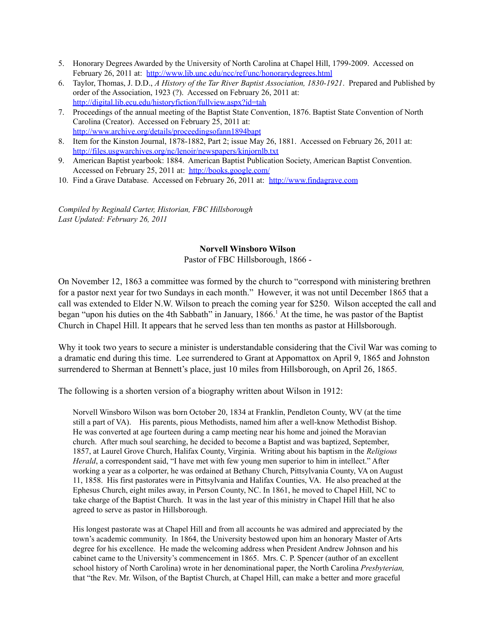- 5. Honorary Degrees Awarded by the University of North Carolina at Chapel Hill, 1799-2009. Accessed on February 26, 2011 at: <http://www.lib.unc.edu/ncc/ref/unc/honorarydegrees.html>
- 6. Taylor, Thomas, J. D.D., *A History of the Tar River Baptist Association, 1830-1921*. Prepared and Published by order of the Association, 1923 (?). Accessed on February 26, 2011 at: <http://digital.lib.ecu.edu/historyfiction/fullview.aspx?id=tah>
- 7. Proceedings of the annual meeting of the Baptist State Convention, 1876. Baptist State Convention of North Carolina (Creator). Accessed on February 25, 2011 at: <http://www.archive.org/details/proceedingsofann1894bapt>
- 8. Item for the Kinston Journal, 1878-1882, Part 2; issue May 26, 1881. Accessed on February 26, 2011 at: <http://files.usgwarchives.org/nc/lenoir/newspapers/kinjornlb.txt>
- 9. American Baptist yearbook: 1884. American Baptist Publication Society, American Baptist Convention. Accessed on February 25, 2011 at: <http://books.google.com/>
- 10. Find a Grave Database. Accessed on February 26, 2011 at: <http://www.findagrave.com>

*Compiled by Reginald Carter, Historian, FBC Hillsborough Last Updated: February 26, 2011*

#### **Norvell Winsboro Wilson**

Pastor of FBC Hillsborough, 1866 -

On November 12, 1863 a committee was formed by the church to "correspond with ministering brethren for a pastor next year for two Sundays in each month." However, it was not until December 1865 that a call was extended to Elder N.W. Wilson to preach the coming year for \$250. Wilson accepted the call and began "upon his duties on the 4th Sabbath" in January, 1866. <sup>1</sup> At the time, he was pastor of the Baptist Church in Chapel Hill. It appears that he served less than ten months as pastor at Hillsborough.

Why it took two years to secure a minister is understandable considering that the Civil War was coming to a dramatic end during this time. Lee surrendered to Grant at Appomattox on April 9, 1865 and Johnston surrendered to Sherman at Bennett's place, just 10 miles from Hillsborough, on April 26, 1865.

The following is a shorten version of a biography written about Wilson in 1912:

Norvell Winsboro Wilson was born October 20, 1834 at Franklin, Pendleton County, WV (at the time still a part of VA). His parents, pious Methodists, named him after a well-know Methodist Bishop. He was converted at age fourteen during a camp meeting near his home and joined the Moravian church. After much soul searching, he decided to become a Baptist and was baptized, September, 1857, at Laurel Grove Church, Halifax County, Virginia. Writing about his baptism in the *Religious Herald*, a correspondent said, "I have met with few young men superior to him in intellect." After working a year as a colporter, he was ordained at Bethany Church, Pittsylvania County, VA on August 11, 1858. His first pastorates were in Pittsylvania and Halifax Counties, VA. He also preached at the Ephesus Church, eight miles away, in Person County, NC. In 1861, he moved to Chapel Hill, NC to take charge of the Baptist Church. It was in the last year of this ministry in Chapel Hill that he also agreed to serve as pastor in Hillsborough.

His longest pastorate was at Chapel Hill and from all accounts he was admired and appreciated by the town's academic community. In 1864, the University bestowed upon him an honorary Master of Arts degree for his excellence. He made the welcoming address when President Andrew Johnson and his cabinet came to the University's commencement in 1865. Mrs. C. P. Spencer (author of an excellent school history of North Carolina) wrote in her denominational paper, the North Carolina *Presbyterian,* that "the Rev. Mr. Wilson, of the Baptist Church, at Chapel Hill, can make a better and more graceful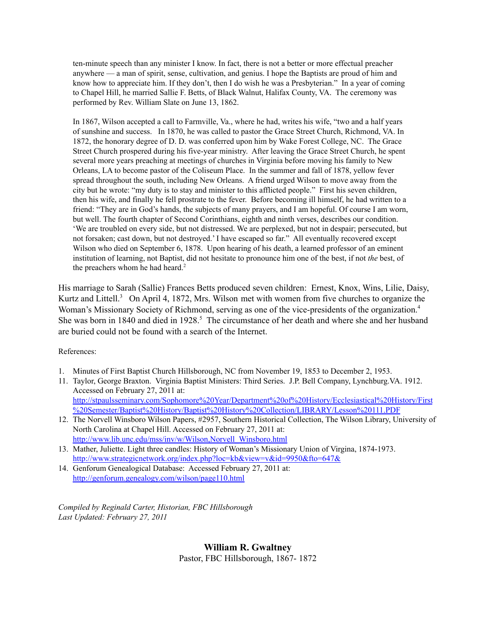ten-minute speech than any minister I know. In fact, there is not a better or more effectual preacher anywhere — a man of spirit, sense, cultivation, and genius. I hope the Baptists are proud of him and know how to appreciate him. If they don't, then I do wish he was a Presbyterian." In a year of coming to Chapel Hill, he married Sallie F. Betts, of Black Walnut, Halifax County, VA. The ceremony was performed by Rev. William Slate on June 13, 1862.

In 1867, Wilson accepted a call to Farmville, Va., where he had, writes his wife, "two and a half years of sunshine and success. In 1870, he was called to pastor the Grace Street Church, Richmond, VA. In 1872, the honorary degree of D. D. was conferred upon him by Wake Forest College, NC. The Grace Street Church prospered during his five-year ministry. After leaving the Grace Street Church, he spent several more years preaching at meetings of churches in Virginia before moving his family to New Orleans, LA to become pastor of the Coliseum Place. In the summer and fall of 1878, yellow fever spread throughout the south, including New Orleans. A friend urged Wilson to move away from the city but he wrote: "my duty is to stay and minister to this afflicted people." First his seven children, then his wife, and finally he fell prostrate to the fever. Before becoming ill himself, he had written to a friend: "They are in God's hands, the subjects of many prayers, and I am hopeful. Of course I am worn, but well. The fourth chapter of Second Corinthians, eighth and ninth verses, describes our condition. 'We are troubled on every side, but not distressed. We are perplexed, but not in despair; persecuted, but not forsaken; cast down, but not destroyed.' I have escaped so far." All eventually recovered except Wilson who died on September 6, 1878. Upon hearing of his death, a learned professor of an eminent institution of learning, not Baptist, did not hesitate to pronounce him one of the best, if not *the* best, of the preachers whom he had heard. 2

His marriage to Sarah (Sallie) Frances Betts produced seven children: Ernest, Knox, Wins, Lilie, Daisy, Kurtz and Littell.<sup>3</sup> On April 4, 1872, Mrs. Wilson met with women from five churches to organize the Woman's Missionary Society of Richmond, serving as one of the vice-presidents of the organization.<sup>4</sup> She was born in 1840 and died in 1928. <sup>5</sup> The circumstance of her death and where she and her husband are buried could not be found with a search of the Internet.

References:

- 1. Minutes of First Baptist Church Hillsborough, NC from November 19, 1853 to December 2, 1953.
- 11. Taylor, George Braxton. Virginia Baptist Ministers: Third Series. J.P. Bell Company, Lynchburg.VA. 1912. Accessed on February 27, 2011 at: [http://stpaulsseminary.com/Sophomore%20Year/Department%20of%20History/Ecclesiastical%20History/First](http://stpaulsseminary.com/Sophomore%2520Year/Department%2520of%2520History/Ecclesiastical%2520History/First%2520Semester/Baptist%2520History/Baptist%2520History%2520Collection/LIBRARY/Lesson%2520111.PDF)
- [%20Semester/Baptist%20History/Baptist%20History%20Collection/LIBRARY/Lesson%20111.PDF](http://stpaulsseminary.com/Sophomore%2520Year/Department%2520of%2520History/Ecclesiastical%2520History/First%2520Semester/Baptist%2520History/Baptist%2520History%2520Collection/LIBRARY/Lesson%2520111.PDF) 12. The Norvell Winsboro Wilson Papers, #2957, Southern Historical Collection, The Wilson Library, University of North Carolina at Chapel Hill. Accessed on February 27, 2011 at:

[http://www.lib.unc.edu/mss/inv/w/Wilson,Norvell\\_Winsboro.html](http://www.lib.unc.edu/mss/inv/w/Wilson,Norvell_Winsboro.html)

- 13. Mather, Juliette. Light three candles: History of Woman's Missionary Union of Virgina, 1874-1973. <http://www.strategicnetwork.org/index.php?loc=kb&view=v&id=9950&fto=647&>
- 14. Genforum Genealogical Database: Accessed February 27, 2011 at: <http://genforum.genealogy.com/wilson/page110.html>

*Compiled by Reginald Carter, Historian, FBC Hillsborough Last Updated: February 27, 2011*

**William R. Gwaltney**

Pastor, FBC Hillsborough, 1867- 1872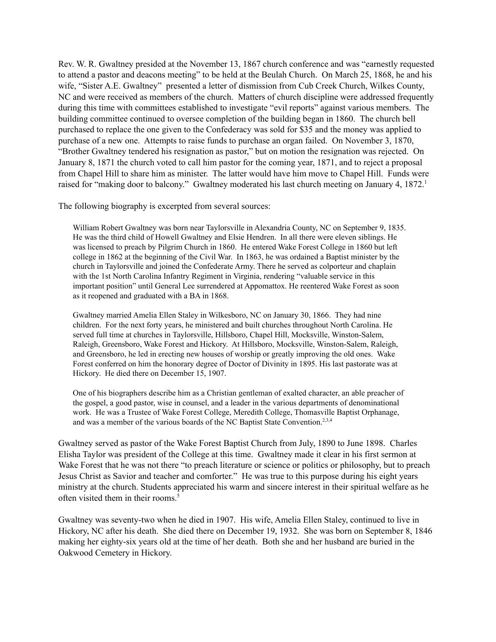Rev. W. R. Gwaltney presided at the November 13, 1867 church conference and was "earnestly requested to attend a pastor and deacons meeting" to be held at the Beulah Church. On March 25, 1868, he and his wife, "Sister A.E. Gwaltney" presented a letter of dismission from Cub Creek Church, Wilkes County, NC and were received as members of the church. Matters of church discipline were addressed frequently during this time with committees established to investigate "evil reports" against various members. The building committee continued to oversee completion of the building began in 1860. The church bell purchased to replace the one given to the Confederacy was sold for \$35 and the money was applied to purchase of a new one. Attempts to raise funds to purchase an organ failed. On November 3, 1870, "Brother Gwaltney tendered his resignation as pastor," but on motion the resignation was rejected. On January 8, 1871 the church voted to call him pastor for the coming year, 1871, and to reject a proposal from Chapel Hill to share him as minister. The latter would have him move to Chapel Hill. Funds were raised for "making door to balcony." Gwaltney moderated his last church meeting on January 4, 1872.<sup>1</sup>

The following biography is excerpted from several sources:

William Robert Gwaltney was born near Taylorsville in Alexandria County, NC on September 9, 1835. He was the third child of Howell Gwaltney and Elsie Hendren. In all there were eleven siblings. He was licensed to preach by Pilgrim Church in 1860. He entered Wake Forest College in 1860 but left college in 1862 at the beginning of the Civil War. In 1863, he was ordained a Baptist minister by the church in Taylorsville and joined the Confederate Army. There he served as colporteur and chaplain with the 1st North Carolina Infantry Regiment in Virginia, rendering "valuable service in this important position" until General Lee surrendered at Appomattox. He reentered Wake Forest as soon as it reopened and graduated with a BA in 1868.

Gwaltney married Amelia Ellen Staley in Wilkesboro, NC on January 30, 1866. They had nine children. For the next forty years, he ministered and built churches throughout North Carolina. He served full time at churches in Taylorsville, Hillsboro, Chapel Hill, Mocksville, Winston-Salem, Raleigh, Greensboro, Wake Forest and Hickory. At Hillsboro, Mocksville, Winston-Salem, Raleigh, and Greensboro, he led in erecting new houses of worship or greatly improving the old ones. Wake Forest conferred on him the honorary degree of Doctor of Divinity in 1895. His last pastorate was at Hickory. He died there on December 15, 1907.

One of his biographers describe him as a Christian gentleman of exalted character, an able preacher of the gospel, a good pastor, wise in counsel, and a leader in the various departments of denominational work. He was a Trustee of Wake Forest College, Meredith College, Thomasville Baptist Orphanage, and was a member of the various boards of the NC Baptist State Convention.<sup>2,3,4</sup>

Gwaltney served as pastor of the Wake Forest Baptist Church from July, 1890 to June 1898. Charles Elisha Taylor was president of the College at this time. Gwaltney made it clear in his first sermon at Wake Forest that he was not there "to preach literature or science or politics or philosophy, but to preach Jesus Christ as Savior and teacher and comforter." He was true to this purpose during his eight years ministry at the church. Students appreciated his warm and sincere interest in their spiritual welfare as he often visited them in their rooms. 5

Gwaltney was seventy-two when he died in 1907. His wife, Amelia Ellen Staley, continued to live in Hickory, NC after his death. She died there on December 19, 1932. She was born on September 8, 1846 making her eighty-six years old at the time of her death. Both she and her husband are buried in the Oakwood Cemetery in Hickory.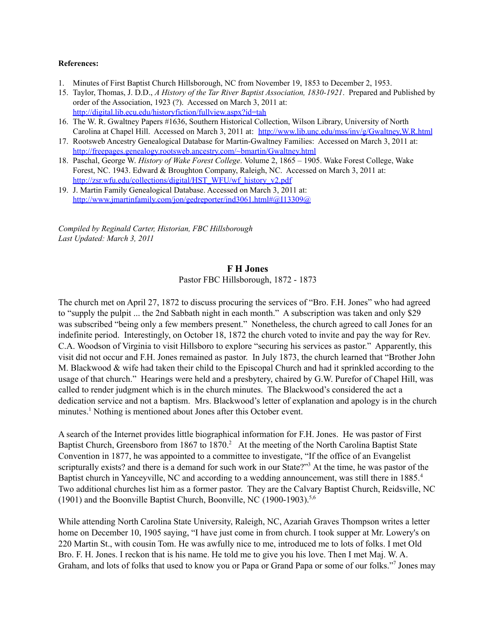#### **References:**

- 1. Minutes of First Baptist Church Hillsborough, NC from November 19, 1853 to December 2, 1953.
- 15. Taylor, Thomas, J. D.D., *A History of the Tar River Baptist Association, 1830-1921*. Prepared and Published by order of the Association, 1923 (?). Accessed on March 3, 2011 at: <http://digital.lib.ecu.edu/historyfiction/fullview.aspx?id=tah>
- 16. The W. R. Gwaltney Papers #1636, Southern Historical Collection, Wilson Library, University of North Carolina at Chapel Hill. Accessed on March 3, 2011 at: <http://www.lib.unc.edu/mss/inv/g/Gwaltney,W.R.html>
- 17. Rootsweb Ancestry Genealogical Database for Martin-Gwaltney Families: Accessed on March 3, 2011 at: <http://freepages.genealogy.rootsweb.ancestry.com/~bmartin/Gwaltney.html>
- 18. Paschal, George W. *History of Wake Forest College*. Volume 2, 1865 1905. Wake Forest College, Wake Forest, NC. 1943. Edward & Broughton Company, Raleigh, NC. Accessed on March 3, 2011 at: [http://zsr.wfu.edu/collections/digital/HST\\_WFU/wf\\_history\\_v2.pdf](http://zsr.wfu.edu/collections/digital/HST_WFU/wf_history_v2.pdf)
- 19. J. Martin Family Genealogical Database. Accessed on March 3, 2011 at: [http://www.jmartinfamily.com/jon/gedreporter/ind3061.html#@I13309@](http://www.jmartinfamily.com/jon/gedreporter/ind3061.html%23@I13309@)

*Compiled by Reginald Carter, Historian, FBC Hillsborough Last Updated: March 3, 2011*

#### **F H Jones**

Pastor FBC Hillsborough, 1872 - 1873

The church met on April 27, 1872 to discuss procuring the services of "Bro. F.H. Jones" who had agreed to "supply the pulpit ... the 2nd Sabbath night in each month." A subscription was taken and only \$29 was subscribed "being only a few members present." Nonetheless, the church agreed to call Jones for an indefinite period. Interestingly, on October 18, 1872 the church voted to invite and pay the way for Rev. C.A. Woodson of Virginia to visit Hillsboro to explore "securing his services as pastor." Apparently, this visit did not occur and F.H. Jones remained as pastor. In July 1873, the church learned that "Brother John M. Blackwood & wife had taken their child to the Episcopal Church and had it sprinkled according to the usage of that church." Hearings were held and a presbytery, chaired by G.W. Purefor of Chapel Hill, was called to render judgment which is in the church minutes. The Blackwood's considered the act a dedication service and not a baptism. Mrs. Blackwood's letter of explanation and apology is in the church minutes. <sup>1</sup> Nothing is mentioned about Jones after this October event.

A search of the Internet provides little biographical information for F.H. Jones. He was pastor of First Baptist Church, Greensboro from 1867 to 1870.<sup>2</sup> At the meeting of the North Carolina Baptist State Convention in 1877, he was appointed to a committee to investigate, "If the office of an Evangelist scripturally exists? and there is a demand for such work in our State?"<sup>3</sup> At the time, he was pastor of the Baptist church in Yanceyville, NC and according to a wedding announcement, was still there in 1885.<sup>4</sup> Two additional churches list him as a former pastor. They are the Calvary Baptist Church, Reidsville, NC (1901) and the Boonville Baptist Church, Boonville, NC (1900-1903). 5,6

While attending North Carolina State University, Raleigh, NC, Azariah Graves Thompson writes a letter home on December 10, 1905 saying, "I have just come in from church. I took supper at Mr. Lowery's on 220 Martin St., with cousin Tom. He was awfully nice to me, introduced me to lots of folks. I met Old Bro. F. H. Jones. I reckon that is his name. He told me to give you his love. Then I met Maj. W. A. Graham, and lots of folks that used to know you or Papa or Grand Papa or some of our folks."<sup>7</sup> Jones may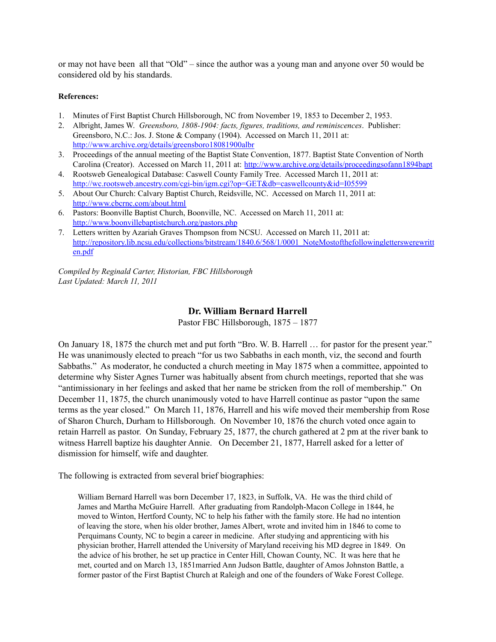or may not have been all that "Old" – since the author was a young man and anyone over 50 would be considered old by his standards.

#### **References:**

- 1. Minutes of First Baptist Church Hillsborough, NC from November 19, 1853 to December 2, 1953.
- 2. Albright, James W. *Greensboro, 1808-1904: facts, figures, traditions, and reminiscences*. Publisher: Greensboro, N.C.: Jos. J. Stone & Company (1904). Accessed on March 11, 2011 at: <http://www.archive.org/details/greensboro18081900albr>
- 3. Proceedings of the annual meeting of the Baptist State Convention, 1877. Baptist State Convention of North Carolina (Creator). Accessed on March 11, 2011 at: <http://www.archive.org/details/proceedingsofann1894bapt>
- 4. Rootsweb Genealogical Database: Caswell County Family Tree. Accessed March 11, 2011 at: <http://wc.rootsweb.ancestry.com/cgi-bin/igm.cgi?op=GET&db=caswellcounty&id=I05599>
- 5. About Our Church: Calvary Baptist Church, Reidsville, NC. Accessed on March 11, 2011 at: <http://www.cbcrnc.com/about.html>
- 6. Pastors: Boonville Baptist Church, Boonville, NC. Accessed on March 11, 2011 at: <http://www.boonvillebaptistchurch.org/pastors.php>
- 7. Letters written by Azariah Graves Thompson from NCSU. Accessed on March 11, 2011 at: [http://repository.lib.ncsu.edu/collections/bitstream/1840.6/568/1/0001\\_NoteMostofthefollowingletterswerewritt](http://repository.lib.ncsu.edu/collections/bitstream/1840.6/568/1/0001_NoteMostofthefollowingletterswerewritten.pdf) [en.pdf](http://repository.lib.ncsu.edu/collections/bitstream/1840.6/568/1/0001_NoteMostofthefollowingletterswerewritten.pdf)

*Compiled by Reginald Carter, Historian, FBC Hillsborough Last Updated: March 11, 2011*

### **Dr. William Bernard Harrell**

Pastor FBC Hillsborough, 1875 – 1877

On January 18, 1875 the church met and put forth "Bro. W. B. Harrell … for pastor for the present year." He was unanimously elected to preach "for us two Sabbaths in each month, viz, the second and fourth Sabbaths." As moderator, he conducted a church meeting in May 1875 when a committee, appointed to determine why Sister Agnes Turner was habitually absent from church meetings, reported that she was "antimissionary in her feelings and asked that her name be stricken from the roll of membership." On December 11, 1875, the church unanimously voted to have Harrell continue as pastor "upon the same terms as the year closed." On March 11, 1876, Harrell and his wife moved their membership from Rose of Sharon Church, Durham to Hillsborough. On November 10, 1876 the church voted once again to retain Harrell as pastor. On Sunday, February 25, 1877, the church gathered at 2 pm at the river bank to witness Harrell baptize his daughter Annie. On December 21, 1877, Harrell asked for a letter of dismission for himself, wife and daughter.

The following is extracted from several brief biographies:

William Bernard Harrell was born December 17, 1823, in Suffolk, VA. He was the third child of James and Martha McGuire Harrell. After graduating from Randolph-Macon College in 1844, he moved to Winton, Hertford County, NC to help his father with the family store. He had no intention of leaving the store, when his older brother, James Albert, wrote and invited him in 1846 to come to Perquimans County, NC to begin a career in medicine. After studying and apprenticing with his physician brother, Harrell attended the University of Maryland receiving his MD degree in 1849. On the advice of his brother, he set up practice in Center Hill, Chowan County, NC. It was here that he met, courted and on March 13, 1851married Ann Judson Battle, daughter of Amos Johnston Battle, a former pastor of the First Baptist Church at Raleigh and one of the founders of Wake Forest College.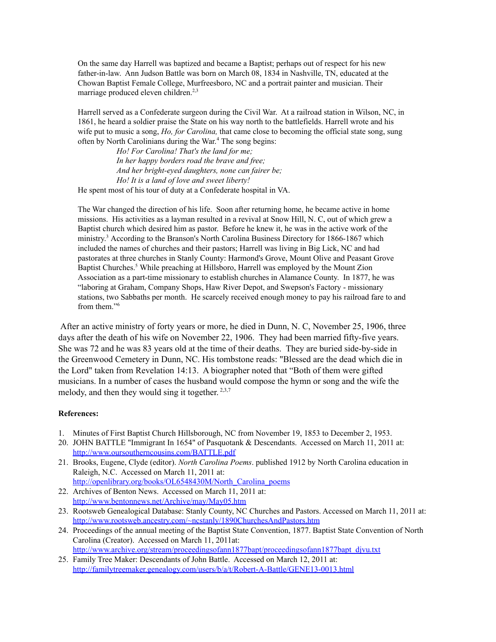On the same day Harrell was baptized and became a Baptist; perhaps out of respect for his new father-in-law. Ann Judson Battle was born on March 08, 1834 in Nashville, TN, educated at the Chowan Baptist Female College, Murfreesboro, NC and a portrait painter and musician. Their marriage produced eleven children.<sup>2,3</sup>

Harrell served as a Confederate surgeon during the Civil War. At a railroad station in Wilson, NC, in 1861, he heard a soldier praise the State on his way north to the battlefields. Harrell wrote and his wife put to music a song, *Ho, for Carolina,* that came close to becoming the official state song, sung often by North Carolinians during the War. <sup>4</sup> The song begins:

*Ho! For Carolina! That's the land for me; In her happy borders road the brave and free; And her bright-eyed daughters, none can fairer be; Ho! It is a land of love and sweet liberty!* He spent most of his tour of duty at a Confederate hospital in VA.

The War changed the direction of his life. Soon after returning home, he became active in home missions. His activities as a layman resulted in a revival at Snow Hill, N. C, out of which grew a Baptist church which desired him as pastor. Before he knew it, he was in the active work of the ministry.<sup>3</sup> According to the Branson's North Carolina Business Directory for 1866-1867 which included the names of churches and their pastors; Harrell was living in Big Lick, NC and had pastorates at three churches in Stanly County: Harmond's Grove, Mount Olive and Peasant Grove Baptist Churches.<sup>5</sup> While preaching at Hillsboro, Harrell was employed by the Mount Zion Association as a part-time missionary to establish churches in Alamance County. In 1877, he was "laboring at Graham, Company Shops, Haw River Depot, and Swepson's Factory - missionary stations, two Sabbaths per month. He scarcely received enough money to pay his railroad fare to and from them." 6

After an active ministry of forty years or more, he died in Dunn, N. C, November 25, 1906, three days after the death of his wife on November 22, 1906. They had been married fifty-five years. She was 72 and he was 83 years old at the time of their deaths. They are buried side-by-side in the Greenwood Cemetery in Dunn, NC. His tombstone reads: "Blessed are the dead which die in the Lord" taken from Revelation 14:13. A biographer noted that "Both of them were gifted musicians. In a number of cases the husband would compose the hymn or song and the wife the melody, and then they would sing it together.  $2,3,7$ 

- 1. Minutes of First Baptist Church Hillsborough, NC from November 19, 1853 to December 2, 1953.
- 20. JOHN BATTLE "Immigrant In 1654" of Pasquotank & Descendants. Accessed on March 11, 2011 at: <http://www.oursoutherncousins.com/BATTLE.pdf>
- 21. Brooks, Eugene, Clyde (editor). *North Carolina Poems*. published 1912 by North Carolina education in Raleigh, N.C. Accessed on March 11, 2011 at: [http://openlibrary.org/books/OL6548430M/North\\_Carolina\\_poems](http://openlibrary.org/books/OL6548430M/North_Carolina_poems)
- 22. Archives of Benton News. Accessed on March 11, 2011 at: <http://www.bentonnews.net/Archive/may/May05.htm>
- 23. Rootsweb Genealogical Database: Stanly County, NC Churches and Pastors. Accessed on March 11, 2011 at: <http://www.rootsweb.ancestry.com/~ncstanly/1890ChurchesAndPastors.htm>
- 24. Proceedings of the annual meeting of the Baptist State Convention, 1877. Baptist State Convention of North Carolina (Creator). Accessed on March 11, 2011at: [http://www.archive.org/stream/proceedingsofann1877bapt/proceedingsofann1877bapt\\_djvu.txt](http://www.archive.org/stream/proceedingsofann1877bapt/proceedingsofann1877bapt_djvu.txt)
- 25. Family Tree Maker: Descendants of John Battle. Accessed on March 12, 2011 at: <http://familytreemaker.genealogy.com/users/b/a/t/Robert-A-Battle/GENE13-0013.html>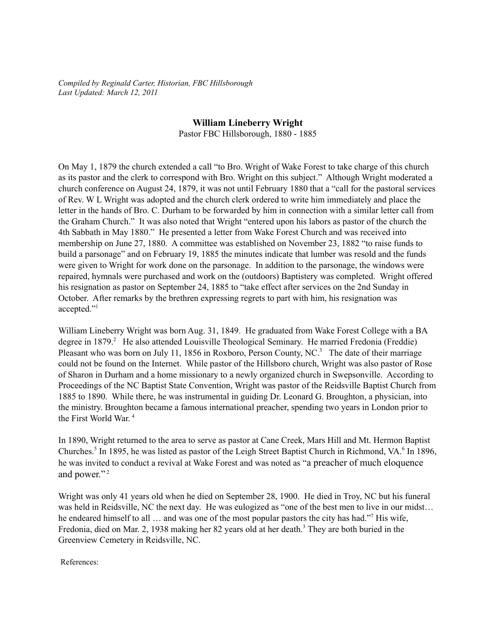*Compiled by Reginald Carter, Historian, FBC Hillsborough Last Updated: March 12, 2011*

## **William Lineberry Wright**

Pastor FBC Hillsborough, 1880 - 1885

On May 1, 1879 the church extended a call "to Bro. Wright of Wake Forest to take charge of this church as its pastor and the clerk to correspond with Bro. Wright on this subject." Although Wright moderated a church conference on August 24, 1879, it was not until February 1880 that a "call for the pastoral services of Rev. W L Wright was adopted and the church clerk ordered to write him immediately and place the letter in the hands of Bro. C. Durham to be forwarded by him in connection with a similar letter call from the Graham Church." It was also noted that Wright "entered upon his labors as pastor of the church the 4th Sabbath in May 1880." He presented a letter from Wake Forest Church and was received into membership on June 27, 1880. A committee was established on November 23, 1882 "to raise funds to build a parsonage" and on February 19, 1885 the minutes indicate that lumber was resold and the funds were given to Wright for work done on the parsonage. In addition to the parsonage, the windows were repaired, hymnals were purchased and work on the (outdoors) Baptistery was completed. Wright offered his resignation as pastor on September 24, 1885 to "take effect after services on the 2nd Sunday in October. After remarks by the brethren expressing regrets to part with him, his resignation was accepted." 1

William Lineberry Wright was born Aug. 31, 1849. He graduated from Wake Forest College with a BA degree in 1879. <sup>2</sup> He also attended Louisville Theological Seminary. He married Fredonia (Freddie) Pleasant who was born on July 11, 1856 in Roxboro, Person County, NC.<sup>3</sup> The date of their marriage could not be found on the Internet. While pastor of the Hillsboro church, Wright was also pastor of Rose of Sharon in Durham and a home missionary to a newly organized church in Swepsonville. According to Proceedings of the NC Baptist State Convention, Wright was pastor of the Reidsville Baptist Church from 1885 to 1890. While there, he was instrumental in guiding Dr. Leonard G. Broughton, a physician, into the ministry. Broughton became a famous international preacher, spending two years in London prior to the First World War. 4

In 1890, Wright returned to the area to serve as pastor at Cane Creek, Mars Hill and Mt. Hermon Baptist Churches.<sup>5</sup> In 1895, he was listed as pastor of the Leigh Street Baptist Church in Richmond, VA.<sup>6</sup> In 1896, he was invited to conduct a revival at Wake Forest and was noted as "a preacher of much eloquence and power."<sup>2</sup>

Wright was only 41 years old when he died on September 28, 1900. He died in Troy, NC but his funeral was held in Reidsville, NC the next day. He was eulogized as "one of the best men to live in our midst… he endeared himself to all ... and was one of the most popular pastors the city has had."<sup>7</sup> His wife, Fredonia, died on Mar. 2, 1938 making her 82 years old at her death.<sup>3</sup> They are both buried in the Greenview Cemetery in Reidsville, NC.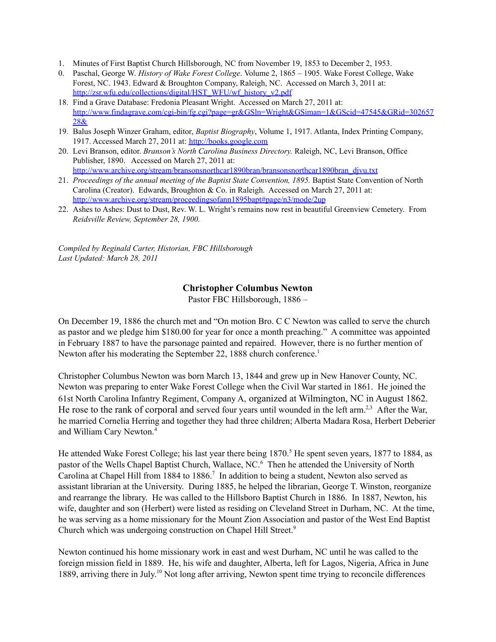- 1. Minutes of First Baptist Church Hillsborough, NC from November 19, 1853 to December 2, 1953.
- 0. Paschal, George W. *History of Wake Forest College*. Volume 2, 1865 1905. Wake Forest College, Wake Forest, NC. 1943. Edward & Broughton Company, Raleigh, NC. Accessed on March 3, 2011 at: [http://zsr.wfu.edu/collections/digital/HST\\_WFU/wf\\_history\\_v2.pdf](http://zsr.wfu.edu/collections/digital/HST_WFU/wf_history_v2.pdf)
- 18. Find a Grave Database: Fredonia Pleasant Wright. Accessed on March 27, 2011 at: [http://www.findagrave.com/cgi-bin/fg.cgi?page=gr&GSln=Wright&GSiman=1&GScid=47545&GRid=302657](http://www.findagrave.com/cgi-bin/fg.cgi?page=gr&GSln=Wright&GSiman=1&GScid=47545&GRid=30265728&) [28&](http://www.findagrave.com/cgi-bin/fg.cgi?page=gr&GSln=Wright&GSiman=1&GScid=47545&GRid=30265728&)
- 19. Balus Joseph Winzer Graham, editor, *Baptist Biography*, Volume 1, 1917. Atlanta, Index Printing Company, 1917. Accessed March 27, 2011 at: <http://books.google.com>
- 20. Levi Branson, editor. *Branson's North Carolina Business Directory.* Raleigh, NC, Levi Branson, Office Publisher, 1890. Accessed on March 27, 2011 at: [http://www.archive.org/stream/bransonsnorthcar1890bran/bransonsnorthcar1890bran\\_djvu.txt](http://www.archive.org/stream/bransonsnorthcar1890bran/bransonsnorthcar1890bran_djvu.txt)
- 21. *Proceedings of the annual meeting of the Baptist State Convention, 1895.* Baptist State Convention of North Carolina (Creator). Edwards, Broughton & Co. in Raleigh. Accessed on March 27, 2011 at: [http://www.archive.org/stream/proceedingsofann1895bapt#page/n3/mode/2up](http://www.archive.org/stream/proceedingsofann1895bapt%23page/n3/mode/2up)
- 22. Ashes to Ashes: Dust to Dust, Rev. W. L. Wright's remains now rest in beautiful Greenview Cemetery. From *Reidsville Review, September 28, 1900.*

*Compiled by Reginald Carter, Historian, FBC Hillsborough Last Updated: March 28, 2011*

## **Christopher Columbus Newton**

Pastor FBC Hillsborough, 1886 –

On December 19, 1886 the church met and "On motion Bro. C C Newton was called to serve the church as pastor and we pledge him \$180.00 for year for once a month preaching." A committee was appointed in February 1887 to have the parsonage painted and repaired. However, there is no further mention of Newton after his moderating the September 22, 1888 church conference.<sup>1</sup>

Christopher Columbus Newton was born March 13, 1844 and grew up in New Hanover County, NC. Newton was preparing to enter Wake Forest College when the Civil War started in 1861. He joined the 61st North Carolina Infantry Regiment, Company A, organized at Wilmington, NC in August 1862. He rose to the rank of corporal and served four years until wounded in the left arm.<sup>2,3</sup> After the War, he married Cornelia Herring and together they had three children; Alberta Madara Rosa, Herbert Deberier and William Cary Newton. 4

He attended Wake Forest College; his last year there being 1870.<sup>5</sup> He spent seven years, 1877 to 1884, as pastor of the Wells Chapel Baptist Church, Wallace, NC. <sup>6</sup> Then he attended the University of North Carolina at Chapel Hill from 1884 to 1886. 7 In addition to being a student, Newton also served as assistant librarian at the University. During 1885, he helped the librarian, George T. Winston, reorganize and rearrange the library. He was called to the Hillsboro Baptist Church in 1886. In 1887, Newton, his wife, daughter and son (Herbert) were listed as residing on Cleveland Street in Durham, NC. At the time, he was serving as a home missionary for the Mount Zion Association and pastor of the West End Baptist Church which was undergoing construction on Chapel Hill Street. 9

Newton continued his home missionary work in east and west Durham, NC until he was called to the foreign mission field in 1889. He, his wife and daughter, Alberta, left for Lagos, Nigeria, Africa in June 1889, arriving there in July.<sup>10</sup> Not long after arriving, Newton spent time trying to reconcile differences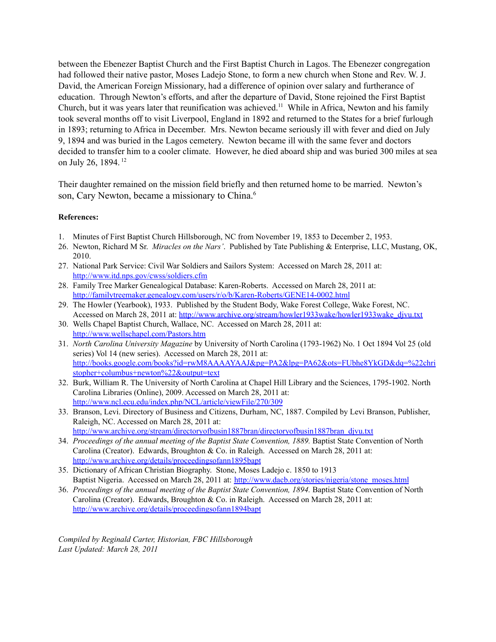between the Ebenezer Baptist Church and the First Baptist Church in Lagos. The Ebenezer congregation had followed their native pastor, Moses Ladejo Stone, to form a new church when Stone and Rev. W. J. David, the American Foreign Missionary, had a difference of opinion over salary and furtherance of education. Through Newton's efforts, and after the departure of David, Stone rejoined the First Baptist Church, but it was years later that reunification was achieved.<sup>11</sup> While in Africa, Newton and his family took several months off to visit Liverpool, England in 1892 and returned to the States for a brief furlough in 1893; returning to Africa in December. Mrs. Newton became seriously ill with fever and died on July 9, 1894 and was buried in the Lagos cemetery. Newton became ill with the same fever and doctors decided to transfer him to a cooler climate. However, he died aboard ship and was buried 300 miles at sea on July 26, 1894.<sup>12</sup>

Their daughter remained on the mission field briefly and then returned home to be married. Newton's son, Cary Newton, became a missionary to China.<sup>6</sup>

#### **References:**

- 1. Minutes of First Baptist Church Hillsborough, NC from November 19, 1853 to December 2, 1953.
- 26. Newton, Richard M Sr. *Miracles on the Nars'*. Published by Tate Publishing & Enterprise, LLC, Mustang, OK, 2010.
- 27. National Park Service: Civil War Soldiers and Sailors System: Accessed on March 28, 2011 at: <http://www.itd.nps.gov/cwss/soldiers.cfm>
- 28. Family Tree Marker Genealogical Database: Karen-Roberts. Accessed on March 28, 2011 at: <http://familytreemaker.genealogy.com/users/r/o/b/Karen-Roberts/GENE14-0002.html>
- 29. The Howler (Yearbook), 1933. Published by the Student Body, Wake Forest College, Wake Forest, NC. Accessed on March 28, 2011 at: [http://www.archive.org/stream/howler1933wake/howler1933wake\\_djvu.txt](http://www.archive.org/stream/howler1933wake/howler1933wake_djvu.txt)
- 30. Wells Chapel Baptist Church, Wallace, NC. Accessed on March 28, 2011 at: <http://www.wellschapel.com/Pastors.htm>
- 31. *North Carolina University Magazine* by University of North Carolina (1793-1962) No. 1 Oct 1894 Vol 25 (old series) Vol 14 (new series). Accessed on March 28, 2011 at: [http://books.google.com/books?id=rwM8AAAAYAAJ&pg=PA2&lpg=PA62&ots=FUbhe8YkGD&dq=%22chri](http://books.google.com/books?id=rwM8AAAAYAAJ&pg=PA2&lpg=PA62&ots=FUbhe8YkGD&dq=%2522christopher+columbus+newton%2522&output=text) [stopher+columbus+newton%22&output=text](http://books.google.com/books?id=rwM8AAAAYAAJ&pg=PA2&lpg=PA62&ots=FUbhe8YkGD&dq=%2522christopher+columbus+newton%2522&output=text)
- 32. Burk, William R. The University of North Carolina at Chapel Hill Library and the Sciences, 1795-1902. North Carolina Libraries (Online), 2009. Accessed on March 28, 2011 at: <http://www.ncl.ecu.edu/index.php/NCL/article/viewFile/270/309>
- 33. Branson, Levi. Directory of Business and Citizens, Durham, NC, 1887. Compiled by Levi Branson, Publisher, Raleigh, NC. Accessed on March 28, 2011 at: [http://www.archive.org/stream/directoryofbusin1887bran/directoryofbusin1887bran\\_djvu.txt](http://www.archive.org/stream/directoryofbusin1887bran/directoryofbusin1887bran_djvu.txt)
- 34. *Proceedings of the annual meeting of the Baptist State Convention, 1889.* Baptist State Convention of North Carolina (Creator). Edwards, Broughton & Co. in Raleigh. Accessed on March 28, 2011 at: <http://www.archive.org/details/proceedingsofann1895bapt>
- 35. Dictionary of African Christian Biography. Stone, Moses Ladejo c. 1850 to 1913 Baptist Nigeria. Accessed on March 28, 2011 at: [http://www.dacb.org/stories/nigeria/stone\\_moses.html](http://www.dacb.org/stories/nigeria/stone_moses.html)
- 36. *Proceedings of the annual meeting of the Baptist State Convention, 1894.* Baptist State Convention of North Carolina (Creator). Edwards, Broughton & Co. in Raleigh. Accessed on March 28, 2011 at: <http://www.archive.org/details/proceedingsofann1894bapt>

*Compiled by Reginald Carter, Historian, FBC Hillsborough Last Updated: March 28, 2011*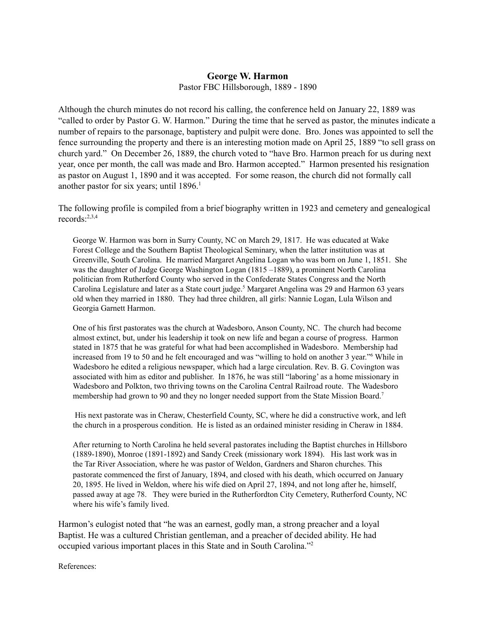### **George W. Harmon**

Pastor FBC Hillsborough, 1889 - 1890

Although the church minutes do not record his calling, the conference held on January 22, 1889 was "called to order by Pastor G. W. Harmon." During the time that he served as pastor, the minutes indicate a number of repairs to the parsonage, baptistery and pulpit were done. Bro. Jones was appointed to sell the fence surrounding the property and there is an interesting motion made on April 25, 1889 "to sell grass on church yard." On December 26, 1889, the church voted to "have Bro. Harmon preach for us during next year, once per month, the call was made and Bro. Harmon accepted." Harmon presented his resignation as pastor on August 1, 1890 and it was accepted. For some reason, the church did not formally call another pastor for six years; until 1896. 1

The following profile is compiled from a brief biography written in 1923 and cemetery and genealogical records: 2,3,4

George W. Harmon was born in Surry County, NC on March 29, 1817. He was educated at Wake Forest College and the Southern Baptist Theological Seminary, when the latter institution was at Greenville, South Carolina. He married Margaret Angelina Logan who was born on June 1, 1851. She was the daughter of Judge George Washington Logan (1815 –1889), a prominent North Carolina politician from Rutherford County who served in the Confederate States Congress and the North Carolina Legislature and later as a State court judge.<sup>5</sup> Margaret Angelina was 29 and Harmon 63 years old when they married in 1880. They had three children, all girls: Nannie Logan, Lula Wilson and Georgia Garnett Harmon.

One of his first pastorates was the church at Wadesboro, Anson County, NC. The church had become almost extinct, but, under his leadership it took on new life and began a course of progress. Harmon stated in 1875 that he was grateful for what had been accomplished in Wadesboro. Membership had increased from 19 to 50 and he felt encouraged and was "willing to hold on another 3 year." <sup>6</sup> While in Wadesboro he edited a religious newspaper, which had a large circulation. Rev. B. G. Covington was associated with him as editor and publisher. In 1876, he was still "laboring' as a home missionary in Wadesboro and Polkton, two thriving towns on the Carolina Central Railroad route. The Wadesboro membership had grown to 90 and they no longer needed support from the State Mission Board.<sup>7</sup>

His next pastorate was in Cheraw, Chesterfield County, SC, where he did a constructive work, and left the church in a prosperous condition. He is listed as an ordained minister residing in Cheraw in 1884.

After returning to North Carolina he held several pastorates including the Baptist churches in Hillsboro (1889-1890), Monroe (1891-1892) and Sandy Creek (missionary work 1894). His last work was in the Tar River Association, where he was pastor of Weldon, Gardners and Sharon churches. This pastorate commenced the first of January, 1894, and closed with his death, which occurred on January 20, 1895. He lived in Weldon, where his wife died on April 27, 1894, and not long after he, himself, passed away at age 78. They were buried in the Rutherfordton City Cemetery, Rutherford County, NC where his wife's family lived.

Harmon's eulogist noted that "he was an earnest, godly man, a strong preacher and a loyal Baptist. He was a cultured Christian gentleman, and a preacher of decided ability. He had occupied various important places in this State and in South Carolina." 2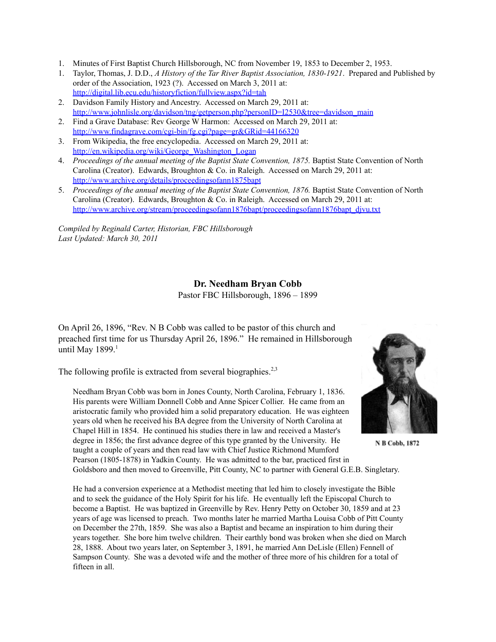- 1. Minutes of First Baptist Church Hillsborough, NC from November 19, 1853 to December 2, 1953.
- 1. Taylor, Thomas, J. D.D., *A History of the Tar River Baptist Association, 1830-1921*. Prepared and Published by order of the Association, 1923 (?). Accessed on March 3, 2011 at: <http://digital.lib.ecu.edu/historyfiction/fullview.aspx?id=tah>
- 2. Davidson Family History and Ancestry. Accessed on March 29, 2011 at: [http://www.johnlisle.org/davidson/tng/getperson.php?personID=I2530&tree=davidson\\_main](http://www.johnlisle.org/davidson/tng/getperson.php?personID=I2530&tree=davidson_main)
- 2. Find a Grave Database: Rev George W Harmon: Accessed on March 29, 2011 at: <http://www.findagrave.com/cgi-bin/fg.cgi?page=gr&GRid=44166320>
- 3. From Wikipedia, the free encyclopedia. Accessed on March 29, 2011 at: [http://en.wikipedia.org/wiki/George\\_Washington\\_Logan](http://en.wikipedia.org/wiki/George_Washington_Logan)
- 4. *Proceedings of the annual meeting of the Baptist State Convention, 1875.* Baptist State Convention of North Carolina (Creator). Edwards, Broughton & Co. in Raleigh. Accessed on March 29, 2011 at: <http://www.archive.org/details/proceedingsofann1875bapt>
- 5. *Proceedings of the annual meeting of the Baptist State Convention, 1876.* Baptist State Convention of North Carolina (Creator). Edwards, Broughton & Co. in Raleigh. Accessed on March 29, 2011 at: [http://www.archive.org/stream/proceedingsofann1876bapt/proceedingsofann1876bapt\\_djvu.txt](http://www.archive.org/stream/proceedingsofann1876bapt/proceedingsofann1876bapt_djvu.txt)

*Compiled by Reginald Carter, Historian, FBC Hillsborough Last Updated: March 30, 2011*

# **Dr. Needham Bryan Cobb**

Pastor FBC Hillsborough, 1896 – 1899

On April 26, 1896, "Rev. N B Cobb was called to be pastor of this church and preached first time for us Thursday April 26, 1896." He remained in Hillsborough until May 1899.<sup>1</sup>

The following profile is extracted from several biographies.<sup>2,3</sup>

Needham Bryan Cobb was born in Jones County, North Carolina, February 1, 1836. His parents were William Donnell Cobb and Anne Spicer Collier. He came from an aristocratic family who provided him a solid preparatory education. He was eighteen years old when he received his BA degree from the University of North Carolina at Chapel Hill in 1854. He continued his studies there in law and received a Master's degree in 1856; the first advance degree of this type granted by the University. He taught a couple of years and then read law with Chief Justice Richmond Mumford Pearson (1805-1878) in Yadkin County. He was admitted to the bar, practiced first in Goldsboro and then moved to Greenville, Pitt County, NC to partner with General G.E.B. Singletary.



N B Cobb, 1872

He had a conversion experience at a Methodist meeting that led him to closely investigate the Bible and to seek the guidance of the Holy Spirit for his life. He eventually left the Episcopal Church to become a Baptist. He was baptized in Greenville by Rev. Henry Petty on October 30, 1859 and at 23 years of age was licensed to preach. Two months later he married Martha Louisa Cobb of Pitt County on December the 27th, 1859. She was also a Baptist and became an inspiration to him during their years together. She bore him twelve children. Their earthly bond was broken when she died on March 28, 1888. About two years later, on September 3, 1891, he married Ann DeLisle (Ellen) Fennell of Sampson County. She was a devoted wife and the mother of three more of his children for a total of fifteen in all.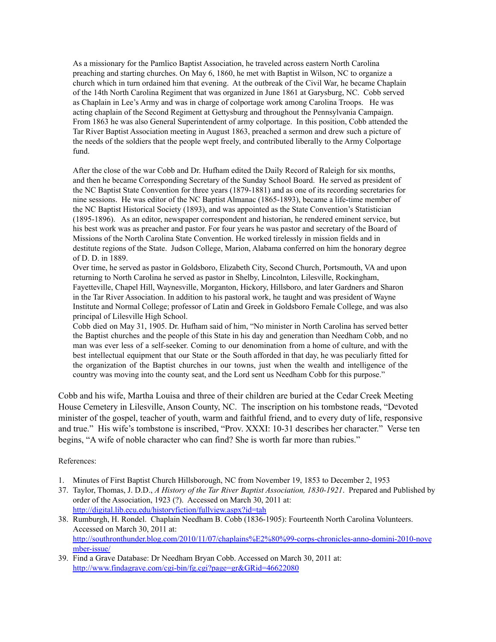As a missionary for the Pamlico Baptist Association, he traveled across eastern North Carolina preaching and starting churches. On May 6, 1860, he met with Baptist in Wilson, NC to organize a church which in turn ordained him that evening. At the outbreak of the Civil War, he became Chaplain of the 14th North Carolina Regiment that was organized in June 1861 at Garysburg, NC. Cobb served as Chaplain in Lee's Army and was in charge of colportage work among Carolina Troops. He was acting chaplain of the Second Regiment at Gettysburg and throughout the Pennsylvania Campaign. From 1863 he was also General Superintendent of army colportage. In this position, Cobb attended the Tar River Baptist Association meeting in August 1863, preached a sermon and drew such a picture of the needs of the soldiers that the people wept freely, and contributed liberally to the Army Colportage fund.

After the close of the war Cobb and Dr. Hufham edited the Daily Record of Raleigh for six months, and then he became Corresponding Secretary of the Sunday School Board. He served as president of the NC Baptist State Convention for three years (1879-1881) and as one of its recording secretaries for nine sessions. He was editor of the NC Baptist Almanac (1865-1893), became a life-time member of the NC Baptist Historical Society (1893), and was appointed as the State Convention's Statistician (1895-1896). As an editor, newspaper correspondent and historian, he rendered eminent service, but his best work was as preacher and pastor. For four years he was pastor and secretary of the Board of Missions of the North Carolina State Convention. He worked tirelessly in mission fields and in destitute regions of the State. Judson College, Marion, Alabama conferred on him the honorary degree of D. D. in 1889.

Over time, he served as pastor in Goldsboro, Elizabeth City, Second Church, Portsmouth, VA and upon returning to North Carolina he served as pastor in Shelby, Lincolnton, Lilesville, Rockingham, Fayetteville, Chapel Hill, Waynesville, Morganton, Hickory, Hillsboro, and later Gardners and Sharon in the Tar River Association. In addition to his pastoral work, he taught and was president of Wayne Institute and Normal College; professor of Latin and Greek in Goldsboro Female College, and was also principal of Lilesville High School.

Cobb died on May 31, 1905. Dr. Hufham said of him, "No minister in North Carolina has served better the Baptist churches and the people of this State in his day and generation than Needham Cobb, and no man was ever less of a self-seeker. Coming to our denomination from a home of culture, and with the best intellectual equipment that our State or the South afforded in that day, he was peculiarly fitted for the organization of the Baptist churches in our towns, just when the wealth and intelligence of the country was moving into the county seat, and the Lord sent us Needham Cobb for this purpose."

Cobb and his wife, Martha Louisa and three of their children are buried at the Cedar Creek Meeting House Cemetery in Lilesville, Anson County, NC. The inscription on his tombstone reads, "Devoted minister of the gospel, teacher of youth, warm and faithful friend, and to every duty of life, responsive and true." His wife's tombstone is inscribed, "Prov. XXXI: 10-31 describes her character." Verse ten begins, "A wife of noble character who can find? She is worth far more than rubies."

- 1. Minutes of First Baptist Church Hillsborough, NC from November 19, 1853 to December 2, 1953
- 37. Taylor, Thomas, J. D.D., *A History of the Tar River Baptist Association, 1830-1921*. Prepared and Published by order of the Association, 1923 (?). Accessed on March 30, 2011 at: <http://digital.lib.ecu.edu/historyfiction/fullview.aspx?id=tah>
- 38. Rumburgh, H. Rondel. Chaplain Needham B. Cobb (1836-1905): Fourteenth North Carolina Volunteers. Accessed on March 30, 2011 at: [http://southronthunder.blog.com/2010/11/07/chaplains%E2%80%99-corps-chronicles-anno-domini-2010-nove](http://southronthunder.blog.com/2010/11/07/chaplains%25E2%2580%2599-corps-chronicles-anno-domini-2010-november-issue/) [mber-issue/](http://southronthunder.blog.com/2010/11/07/chaplains%25E2%2580%2599-corps-chronicles-anno-domini-2010-november-issue/)
- 39. Find a Grave Database: Dr Needham Bryan Cobb. Accessed on March 30, 2011 at: <http://www.findagrave.com/cgi-bin/fg.cgi?page=gr&GRid=46622080>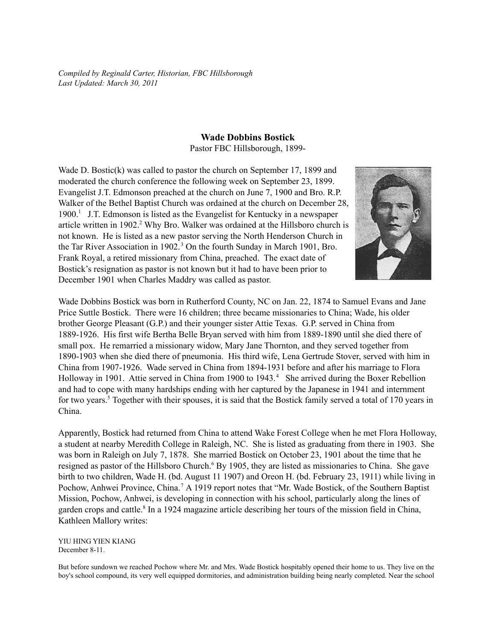*Compiled by Reginald Carter, Historian, FBC Hillsborough Last Updated: March 30, 2011*

## **Wade Dobbins Bostick**

Pastor FBC Hillsborough, 1899-

Wade D. Bostic(k) was called to pastor the church on September 17, 1899 and moderated the church conference the following week on September 23, 1899. Evangelist J.T. Edmonson preached at the church on June 7, 1900 and Bro. R.P. Walker of the Bethel Baptist Church was ordained at the church on December 28, 1900. 1 J.T. Edmonson is listed as the Evangelist for Kentucky in a newspaper article written in 1902. <sup>2</sup> Why Bro. Walker was ordained at the Hillsboro church is not known. He is listed as a new pastor serving the North Henderson Church in the Tar River Association in 1902. <sup>3</sup> On the fourth Sunday in March 1901, Bro. Frank Royal, a retired missionary from China, preached. The exact date of Bostick's resignation as pastor is not known but it had to have been prior to December 1901 when Charles Maddry was called as pastor.



Wade Dobbins Bostick was born in Rutherford County, NC on Jan. 22, 1874 to Samuel Evans and Jane Price Suttle Bostick. There were 16 children; three became missionaries to China; Wade, his older brother George Pleasant (G.P.) and their younger sister Attie Texas. G.P. served in China from 1889-1926. His first wife Bertha Belle Bryan served with him from 1889-1890 until she died there of small pox. He remarried a missionary widow, Mary Jane Thornton, and they served together from 1890-1903 when she died there of pneumonia. His third wife, Lena Gertrude Stover, served with him in China from 1907-1926. Wade served in China from 1894-1931 before and after his marriage to Flora Holloway in 1901. Attie served in China from 1900 to 1943. <sup>4</sup> She arrived during the Boxer Rebellion and had to cope with many hardships ending with her captured by the Japanese in 1941 and internment for two years. <sup>5</sup> Together with their spouses, it is said that the Bostick family served a total of 170 years in China.

Apparently, Bostick had returned from China to attend Wake Forest College when he met Flora Holloway, a student at nearby Meredith College in Raleigh, NC. She is listed as graduating from there in 1903. She was born in Raleigh on July 7, 1878. She married Bostick on October 23, 1901 about the time that he resigned as pastor of the Hillsboro Church.<sup>6</sup> By 1905, they are listed as missionaries to China. She gave birth to two children, Wade H. (bd. August 11 1907) and Oreon H. (bd. February 23, 1911) while living in Pochow, Anhwei Province, China.<sup>7</sup> A 1919 report notes that "Mr. Wade Bostick, of the Southern Baptist Mission, Pochow, Anhwei, is developing in connection with his school, particularly along the lines of garden crops and cattle.<sup>8</sup> In a 1924 magazine article describing her tours of the mission field in China, Kathleen Mallory writes:

YIU HING YIEN KIANG December 8-11.

But before sundown we reached Pochow where Mr. and Mrs. Wade Bostick hospitably opened their home to us. They live on the boy's school compound, its very well equipped dormitories, and administration building being nearly completed. Near the school